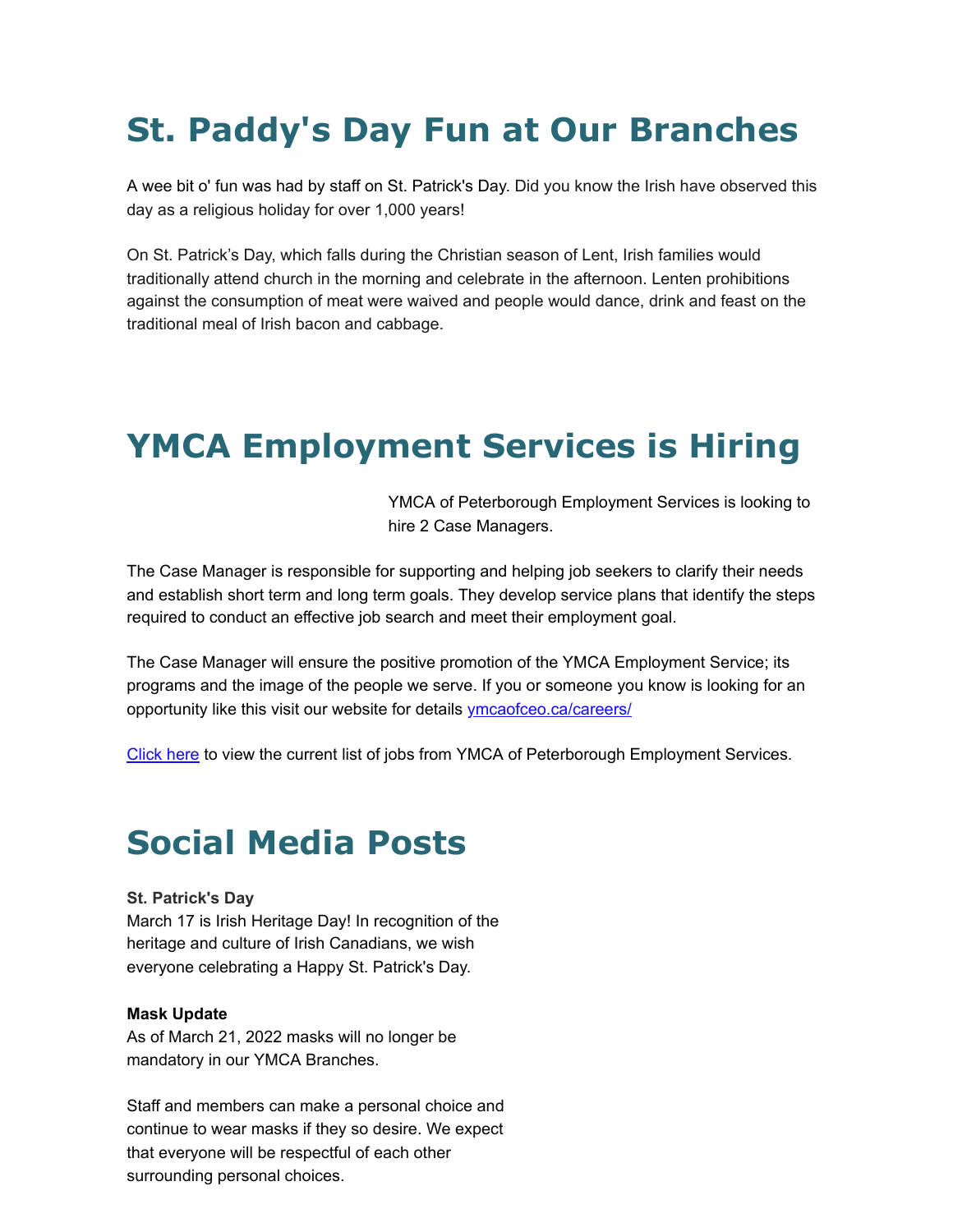# **St. Paddy's Day Fun at Our Branches**

A wee bit o' fun was had by staff on St. Patrick's Day. Did you know the Irish have observed this day as a religious holiday for over 1,000 years!

On St. Patrick's Day, which falls during the Christian season of Lent, Irish families would traditionally attend church in the morning and celebrate in the afternoon. Lenten prohibitions against the consumption of meat were waived and people would dance, drink and feast on the traditional meal of Irish bacon and cabbage.

## **YMCA Employment Services is Hiring**

YMCA of Peterborough Employment Services is looking to hire 2 Case Managers.

The Case Manager is responsible for supporting and helping job seekers to clarify their needs and establish short term and long term goals. They develop service plans that identify the steps required to conduct an effective job search and meet their employment goal.

The Case Manager will ensure the positive promotion of the YMCA Employment Service; its programs and the image of the people we serve. If you or someone you know is looking for an opportunity like this visit our website for details [ymcaofceo.ca/careers/](https://ymcaofceo.ca/careers/)

[Click here](https://ymcaofceo.ca/employment-services/for-job-seekers/weekly-job-list/) to view the current list of jobs from YMCA of Peterborough Employment Services.

### **Social Media Posts**

#### **St. Patrick's Day**

March 17 is Irish Heritage Day! In recognition of the heritage and culture of Irish Canadians, we wish everyone celebrating a Happy St. Patrick's Day.

#### **Mask Update**

As of March 21, 2022 masks will no longer be mandatory in our YMCA Branches.

Staff and members can make a personal choice and continue to wear masks if they so desire. We expect that everyone will be respectful of each other surrounding personal choices.